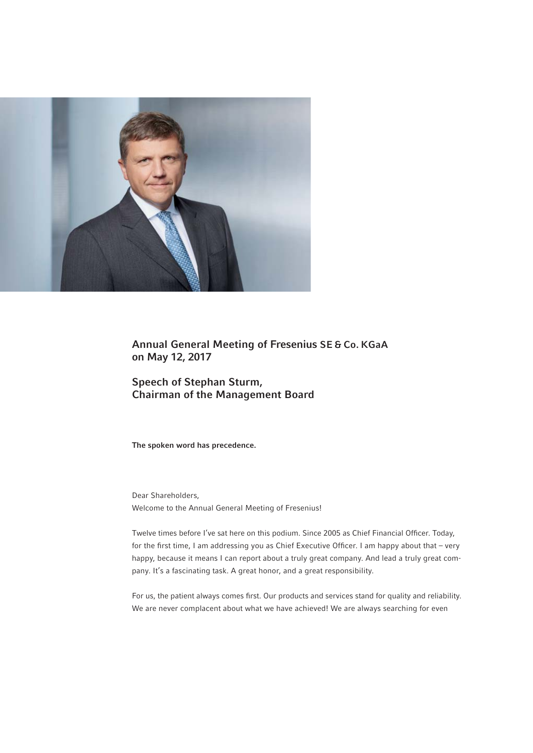

Annual General Meeting of Fresenius SE & Co. KGaA on May 12, 2017

Speech of Stephan Sturm, Chairman of the Management Board

The spoken word has precedence.

Dear Shareholders, Welcome to the Annual General Meeting of Fresenius!

Twelve times before I've sat here on this podium. Since 2005 as Chief Financial Officer. Today, for the first time, I am addressing you as Chief Executive Officer. I am happy about that - very happy, because it means I can report about a truly great company. And lead a truly great company. It's a fascinating task. A great honor, and a great responsibility.

For us, the patient always comes first. Our products and services stand for quality and reliability. We are never complacent about what we have achieved! We are always searching for even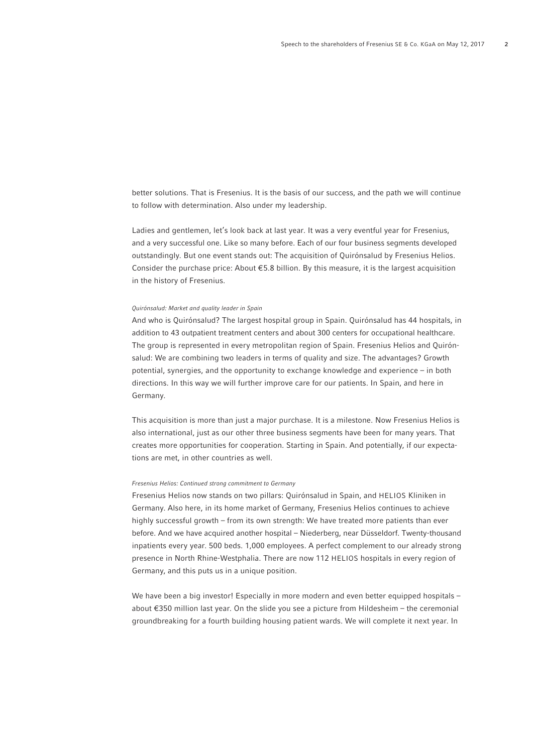better solutions. That is Fresenius. It is the basis of our success, and the path we will continue to follow with determination. Also under my leadership.

Ladies and gentlemen, let's look back at last year. It was a very eventful year for Fresenius, and a very successful one. Like so many before. Each of our four business segments developed outstandingly. But one event stands out: The acquisition of Quirónsalud by Fresenius Helios. Consider the purchase price: About € 5.8 billion. By this measure, it is the largest acquisition in the history of Fresenius.

## Quirónsalud: Market and quality leader in Spain

And who is Quirónsalud? The largest hospital group in Spain. Quirónsalud has 44 hospitals, in addition to 43 outpatient treatment centers and about 300 centers for occupational healthcare. The group is represented in every metropolitan region of Spain. Fresenius Helios and Quirónsalud: We are combining two leaders in terms of quality and size. The advantages? Growth potential, synergies, and the opportunity to exchange knowledge and experience – in both directions. In this way we will further improve care for our patients. In Spain, and here in Germany.

This acquisition is more than just a major purchase. It is a milestone. Now Fresenius Helios is also international, just as our other three business segments have been for many years. That creates more opportunities for cooperation. Starting in Spain. And potentially, if our expectations are met, in other countries as well.

# Fresenius Helios: Continued strong commitment to Germany

Fresenius Helios now stands on two pillars: Quirónsalud in Spain, and HELIOS Kliniken in Germany. Also here, in its home market of Germany, Fresenius Helios continues to achieve highly successful growth – from its own strength: We have treated more patients than ever before. And we have acquired another hospital – Niederberg, near Düsseldorf. Twenty-thousand inpatients every year. 500 beds. 1,000 employees. A perfect complement to our already strong presence in North Rhine-Westphalia. There are now 112 HELIOS hospitals in every region of Germany, and this puts us in a unique position.

We have been a big investor! Especially in more modern and even better equipped hospitals about €350 million last year. On the slide you see a picture from Hildesheim – the ceremonial groundbreaking for a fourth building housing patient wards. We will complete it next year. In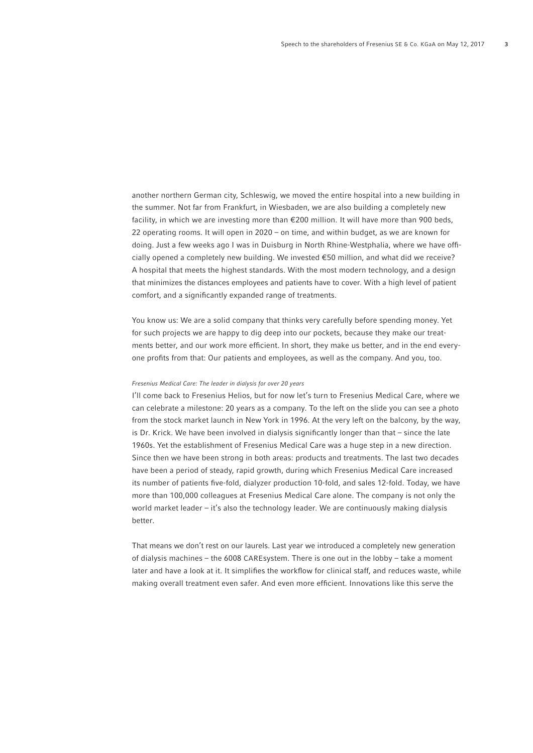another northern German city, Schleswig, we moved the entire hospital into a new building in the summer. Not far from Frankfurt, in Wiesbaden, we are also building a completely new facility, in which we are investing more than €200 million. It will have more than 900 beds, 22 operating rooms. It will open in 2020 – on time, and within budget, as we are known for doing. Just a few weeks ago I was in Duisburg in North Rhine-Westphalia, where we have officially opened a completely new building. We invested €50 million, and what did we receive? A hospital that meets the highest standards. With the most modern technology, and a design that minimizes the distances employees and patients have to cover. With a high level of patient comfort, and a significantly expanded range of treatments.

You know us: We are a solid company that thinks very carefully before spending money. Yet for such projects we are happy to dig deep into our pockets, because they make our treatments better, and our work more efficient. In short, they make us better, and in the end everyone profits from that: Our patients and employees, as well as the company. And you, too.

### Fresenius Medical Care: The leader in dialysis for over 20 years

I'll come back to Fresenius Helios, but for now let's turn to Fresenius Medical Care, where we can celebrate a milestone: 20 years as a company. To the left on the slide you can see a photo from the stock market launch in New York in 1996. At the very left on the balcony, by the way, is Dr. Krick. We have been involved in dialysis significantly longer than that – since the late 1960s. Yet the establishment of Fresenius Medical Care was a huge step in a new direction. Since then we have been strong in both areas: products and treatments. The last two decades have been a period of steady, rapid growth, during which Fresenius Medical Care increased its number of patients five-fold, dialyzer production 10-fold, and sales 12-fold. Today, we have more than 100,000 colleagues at Fresenius Medical Care alone. The company is not only the world market leader – it's also the technology leader. We are continuously making dialysis better.

That means we don't rest on our laurels. Last year we introduced a completely new generation of dialysis machines – the 6008 CAREsystem. There is one out in the lobby – take a moment later and have a look at it. It simplifies the workflow for clinical staff, and reduces waste, while making overall treatment even safer. And even more efficient. Innovations like this serve the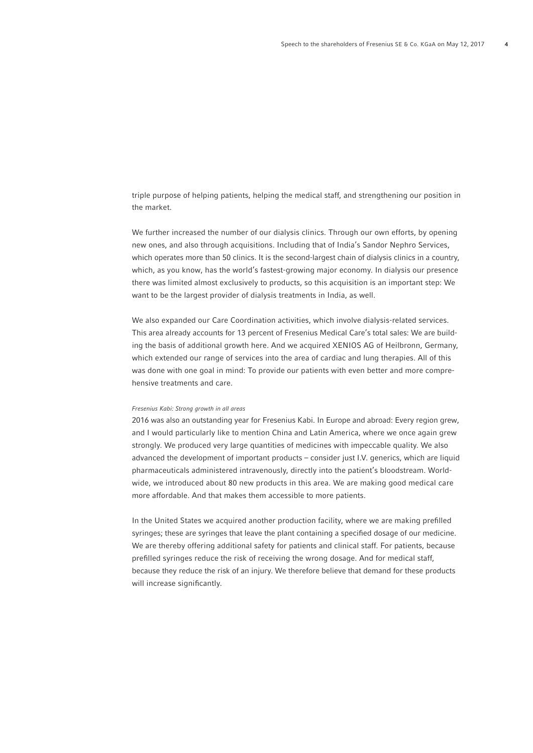triple purpose of helping patients, helping the medical staff, and strengthening our position in the market.

We further increased the number of our dialysis clinics. Through our own efforts, by opening new ones, and also through acquisitions. Including that of India's Sandor Nephro Services, which operates more than 50 clinics. It is the second-largest chain of dialysis clinics in a country, which, as you know, has the world's fastest-growing major economy. In dialysis our presence there was limited almost exclusively to products, so this acquisition is an important step: We want to be the largest provider of dialysis treatments in India, as well.

We also expanded our Care Coordination activities, which involve dialysis-related services. This area already accounts for 13 percent of Fresenius Medical Care's total sales: We are building the basis of additional growth here. And we acquired XENIOS AG of Heilbronn, Germany, which extended our range of services into the area of cardiac and lung therapies. All of this was done with one goal in mind: To provide our patients with even better and more comprehensive treatments and care.

## Fresenius Kabi: Strong growth in all areas

2016 was also an outstanding year for Fresenius Kabi. In Europe and abroad: Every region grew, and I would particularly like to mention China and Latin America, where we once again grew strongly. We produced very large quantities of medicines with impeccable quality. We also advanced the development of important products – consider just I.V. generics, which are liquid pharmaceuticals administered intravenously, directly into the patient's bloodstream. Worldwide, we introduced about 80 new products in this area. We are making good medical care more affordable. And that makes them accessible to more patients.

In the United States we acquired another production facility, where we are making prefilled syringes; these are syringes that leave the plant containing a specified dosage of our medicine. We are thereby offering additional safety for patients and clinical staff. For patients, because prefilled syringes reduce the risk of receiving the wrong dosage. And for medical staff, because they reduce the risk of an injury. We therefore believe that demand for these products will increase significantly.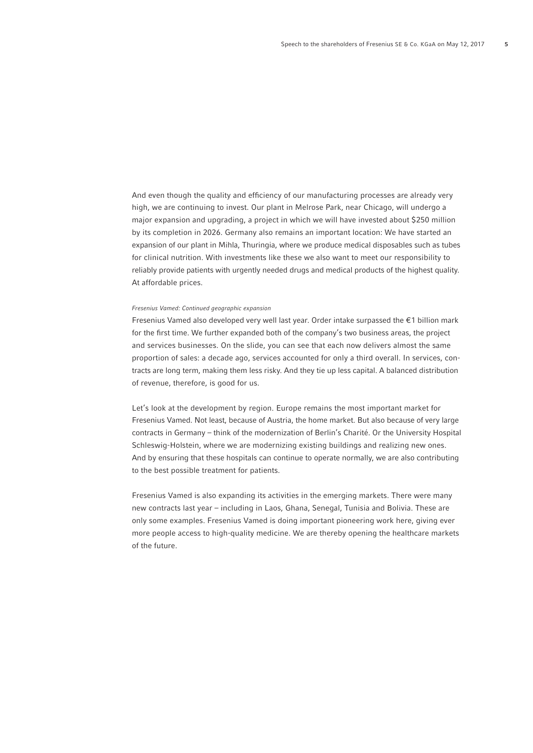And even though the quality and efficiency of our manufacturing processes are already very high, we are continuing to invest. Our plant in Melrose Park, near Chicago, will undergo a major expansion and upgrading, a project in which we will have invested about \$250 million by its completion in 2026. Germany also remains an important location: We have started an expansion of our plant in Mihla, Thuringia, where we produce medical disposables such as tubes for clinical nutrition. With investments like these we also want to meet our responsibility to reliably provide patients with urgently needed drugs and medical products of the highest quality. At affordable prices.

## Fresenius Vamed: Continued geographic expansion

Fresenius Vamed also developed very well last year. Order intake surpassed the  $\epsilon$ 1 billion mark for the first time. We further expanded both of the company's two business areas, the project and services businesses. On the slide, you can see that each now delivers almost the same proportion of sales: a decade ago, services accounted for only a third overall. In services, contracts are long term, making them less risky. And they tie up less capital. A balanced distribution of revenue, therefore, is good for us.

Let's look at the development by region. Europe remains the most important market for Fresenius Vamed. Not least, because of Austria, the home market. But also because of very large contracts in Germany – think of the modernization of Berlin's Charité. Or the University Hospital Schleswig-Holstein, where we are modernizing existing buildings and realizing new ones. And by ensuring that these hospitals can continue to operate normally, we are also contributing to the best possible treatment for patients.

Fresenius Vamed is also expanding its activities in the emerging markets. There were many new contracts last year – including in Laos, Ghana, Senegal, Tunisia and Bolivia. These are only some examples. Fresenius Vamed is doing important pioneering work here, giving ever more people access to high-quality medicine. We are thereby opening the healthcare markets of the future.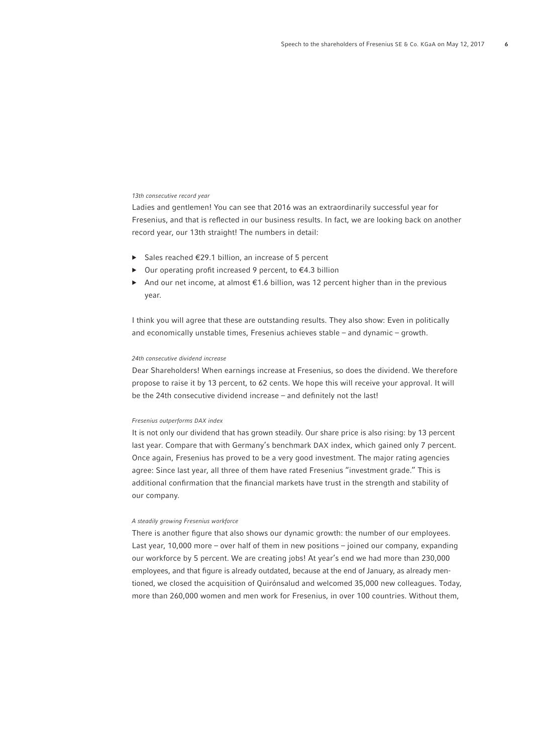# 13th consecutive record year

Ladies and gentlemen! You can see that 2016 was an extraordinarily successful year for Fresenius, and that is reflected in our business results. In fact, we are looking back on another record year, our 13th straight! The numbers in detail:

- ▶ Sales reached €29.1 billion, an increase of 5 percent
- Our operating profit increased 9 percent, to  $\epsilon$ 4.3 billion
- ▶ And our net income, at almost €1.6 billion, was 12 percent higher than in the previous year.

I think you will agree that these are outstanding results. They also show: Even in politically and economically unstable times, Fresenius achieves stable – and dynamic – growth.

## 24th consecutive dividend increase

Dear Shareholders! When earnings increase at Fresenius, so does the dividend. We therefore propose to raise it by 13 percent, to 62 cents. We hope this will receive your approval. It will be the 24th consecutive dividend increase – and definitely not the last!

### Fresenius outperforms DAX index

It is not only our dividend that has grown steadily. Our share price is also rising: by 13 percent last year. Compare that with Germany's benchmark DAX index, which gained only 7 percent. Once again, Fresenius has proved to be a very good investment. The major rating agencies agree: Since last year, all three of them have rated Fresenius "investment grade." This is additional confirmation that the financial markets have trust in the strength and stability of our company.

## A steadily growing Fresenius workforce

There is another figure that also shows our dynamic growth: the number of our employees. Last year, 10,000 more – over half of them in new positions – joined our company, expanding our workforce by 5 percent. We are creating jobs! At year's end we had more than 230,000 employees, and that figure is already outdated, because at the end of January, as already mentioned, we closed the acquisition of Quirónsalud and welcomed 35,000 new colleagues. Today, more than 260,000 women and men work for Fresenius, in over 100 countries. Without them,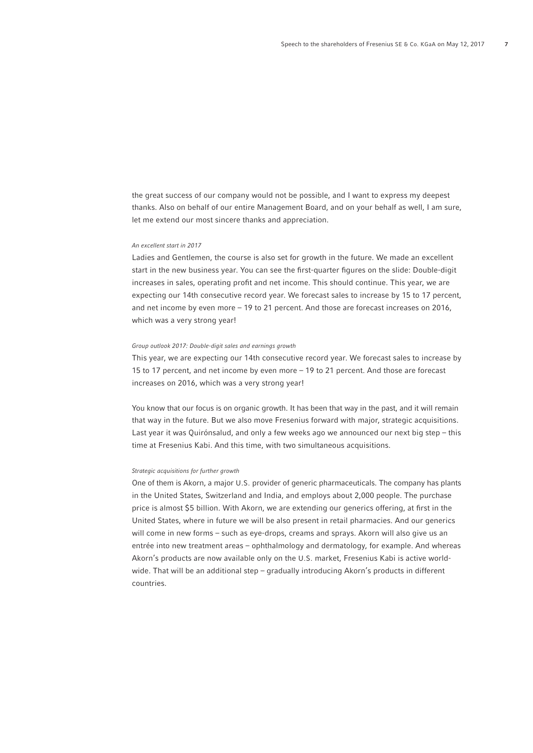the great success of our company would not be possible, and I want to express my deepest thanks. Also on behalf of our entire Management Board, and on your behalf as well, I am sure, let me extend our most sincere thanks and appreciation.

### An excellent start in 2017

Ladies and Gentlemen, the course is also set for growth in the future. We made an excellent start in the new business year. You can see the first-quarter figures on the slide: Double-digit increases in sales, operating profit and net income. This should continue. This year, we are expecting our 14th consecutive record year. We forecast sales to increase by 15 to 17 percent, and net income by even more – 19 to 21 percent. And those are forecast increases on 2016, which was a very strong year!

## Group outlook 2017: Double-digit sales and earnings growth

This year, we are expecting our 14th consecutive record year. We forecast sales to increase by 15 to 17 percent, and net income by even more – 19 to 21 percent. And those are forecast increases on 2016, which was a very strong year!

You know that our focus is on organic growth. It has been that way in the past, and it will remain that way in the future. But we also move Fresenius forward with major, strategic acquisitions. Last year it was Quirónsalud, and only a few weeks ago we announced our next big step – this time at Fresenius Kabi. And this time, with two simultaneous acquisitions.

## Strategic acquisitions for further growth

One of them is Akorn, a major U.S. provider of generic pharmaceuticals. The company has plants in the United States, Switzerland and India, and employs about 2,000 people. The purchase price is almost \$5 billion. With Akorn, we are extending our generics offering, at first in the United States, where in future we will be also present in retail pharmacies. And our generics will come in new forms – such as eye-drops, creams and sprays. Akorn will also give us an entrée into new treatment areas – ophthalmology and dermatology, for example. And whereas Akorn's products are now available only on the U.S. market, Fresenius Kabi is active worldwide. That will be an additional step – gradually introducing Akorn's products in different countries.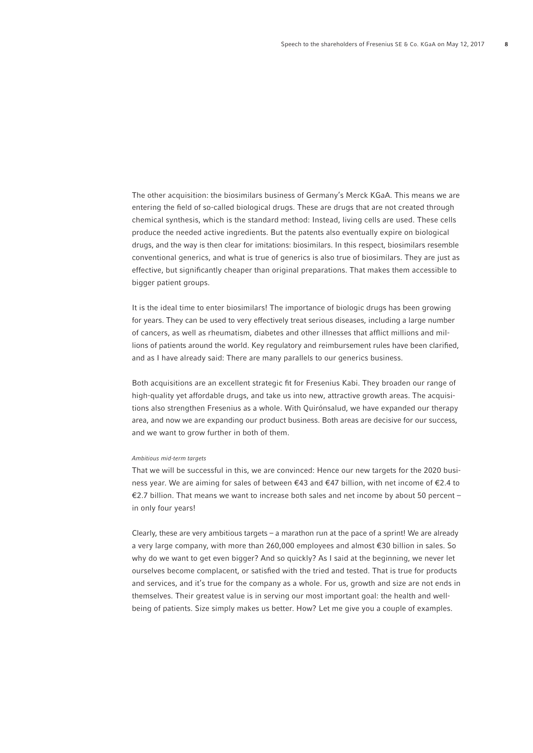The other acquisition: the biosimilars business of Germany's Merck KGaA. This means we are entering the field of so-called biological drugs. These are drugs that are not created through chemical synthesis, which is the standard method: Instead, living cells are used. These cells produce the needed active ingredients. But the patents also eventually expire on biological drugs, and the way is then clear for imitations: biosimilars. In this respect, biosimilars resemble conventional generics, and what is true of generics is also true of biosimilars. They are just as effective, but significantly cheaper than original preparations. That makes them accessible to bigger patient groups.

It is the ideal time to enter biosimilars! The importance of biologic drugs has been growing for years. They can be used to very effectively treat serious diseases, including a large number of cancers, as well as rheumatism, diabetes and other illnesses that afflict millions and millions of patients around the world. Key regulatory and reimbursement rules have been clarified, and as I have already said: There are many parallels to our generics business.

Both acquisitions are an excellent strategic fi t for Fresenius Kabi. They broaden our range of high-quality yet affordable drugs, and take us into new, attractive growth areas. The acquisitions also strengthen Fresenius as a whole. With Quirónsalud, we have expanded our therapy area, and now we are expanding our product business. Both areas are decisive for our success, and we want to grow further in both of them.

#### Ambitious mid-term targets

That we will be successful in this, we are convinced: Hence our new targets for the 2020 business year. We are aiming for sales of between €43 and €47 billion, with net income of €2.4 to €2.7 billion. That means we want to increase both sales and net income by about 50 percent – in only four years!

Clearly, these are very ambitious targets – a marathon run at the pace of a sprint! We are already a very large company, with more than 260,000 employees and almost €30 billion in sales. So why do we want to get even bigger? And so quickly? As I said at the beginning, we never let ourselves become complacent, or satisfied with the tried and tested. That is true for products and services, and it's true for the company as a whole. For us, growth and size are not ends in themselves. Their greatest value is in serving our most important goal: the health and wellbeing of patients. Size simply makes us better. How? Let me give you a couple of examples.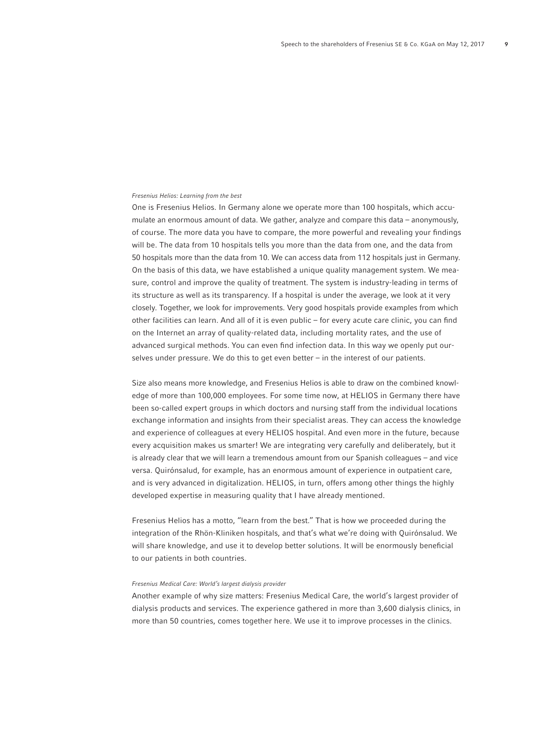# Fresenius Helios: Learning from the best

One is Fresenius Helios. In Germany alone we operate more than 100 hospitals, which accumulate an enormous amount of data. We gather, analyze and compare this data – anonymously, of course. The more data you have to compare, the more powerful and revealing your findings will be. The data from 10 hospitals tells you more than the data from one, and the data from 50 hospitals more than the data from 10. We can access data from 112 hospitals just in Germany. On the basis of this data, we have established a unique quality management system. We measure, control and improve the quality of treatment. The system is industry-leading in terms of its structure as well as its transparency. If a hospital is under the average, we look at it very closely. Together, we look for improvements. Very good hospitals provide examples from which other facilities can learn. And all of it is even public – for every acute care clinic, you can find on the Internet an array of quality-related data, including mortality rates, and the use of advanced surgical methods. You can even find infection data. In this way we openly put ourselves under pressure. We do this to get even better – in the interest of our patients.

Size also means more knowledge, and Fresenius Helios is able to draw on the combined knowledge of more than 100,000 employees. For some time now, at HELIOS in Germany there have been so-called expert groups in which doctors and nursing staff from the individual locations exchange information and insights from their specialist areas. They can access the knowledge and experience of colleagues at every HELIOS hospital. And even more in the future, because every acquisition makes us smarter! We are integrating very carefully and deliberately, but it is already clear that we will learn a tremendous amount from our Spanish colleagues – and vice versa. Quirónsalud, for example, has an enormous amount of experience in outpatient care, and is very advanced in digitalization. HELIOS, in turn, offers among other things the highly developed expertise in measuring quality that I have already mentioned.

Fresenius Helios has a motto, "learn from the best." That is how we proceeded during the integration of the Rhön-Kliniken hospitals, and that's what we're doing with Quirónsalud. We will share knowledge, and use it to develop better solutions. It will be enormously beneficial to our patients in both countries.

# Fresenius Medical Care: World's largest dialysis provider

Another example of why size matters: Fresenius Medical Care, the world's largest provider of dialysis products and services. The experience gathered in more than 3,600 dialysis clinics, in more than 50 countries, comes together here. We use it to improve processes in the clinics.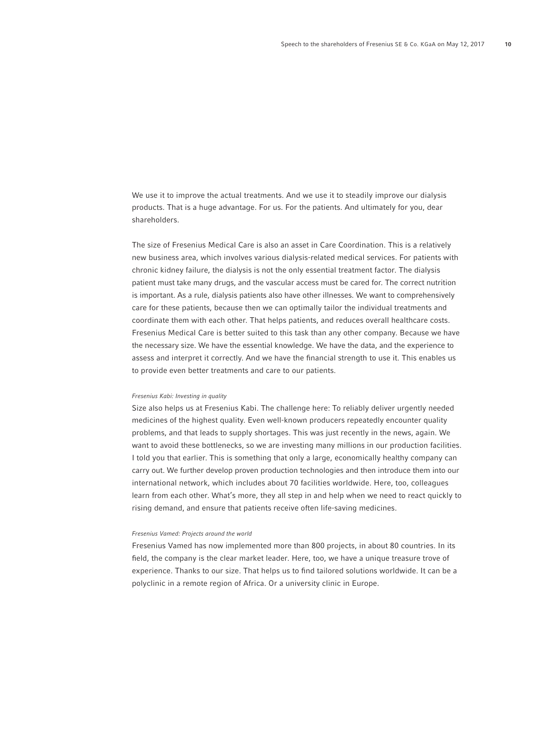We use it to improve the actual treatments. And we use it to steadily improve our dialysis products. That is a huge advantage. For us. For the patients. And ultimately for you, dear shareholders.

The size of Fresenius Medical Care is also an asset in Care Coordination. This is a relatively new business area, which involves various dialysis-related medical services. For patients with chronic kidney failure, the dialysis is not the only essential treatment factor. The dialysis patient must take many drugs, and the vascular access must be cared for. The correct nutrition is important. As a rule, dialysis patients also have other illnesses. We want to comprehensively care for these patients, because then we can optimally tailor the individual treatments and coordinate them with each other. That helps patients, and reduces overall healthcare costs. Fresenius Medical Care is better suited to this task than any other company. Because we have the necessary size. We have the essential knowledge. We have the data, and the experience to assess and interpret it correctly. And we have the financial strength to use it. This enables us to provide even better treatments and care to our patients.

### Fresenius Kabi: Investing in quality

Size also helps us at Fresenius Kabi. The challenge here: To reliably deliver urgently needed medicines of the highest quality. Even well-known producers repeatedly encounter quality problems, and that leads to supply shortages. This was just recently in the news, again. We want to avoid these bottlenecks, so we are investing many millions in our production facilities. I told you that earlier. This is something that only a large, economically healthy company can carry out. We further develop proven production technologies and then introduce them into our international network, which includes about 70 facilities worldwide. Here, too, colleagues learn from each other. What's more, they all step in and help when we need to react quickly to rising demand, and ensure that patients receive often life-saving medicines.

### Fresenius Vamed: Projects around the world

Fresenius Vamed has now implemented more than 800 projects, in about 80 countries. In its field, the company is the clear market leader. Here, too, we have a unique treasure trove of experience. Thanks to our size. That helps us to find tailored solutions worldwide. It can be a polyclinic in a remote region of Africa. Or a university clinic in Europe.